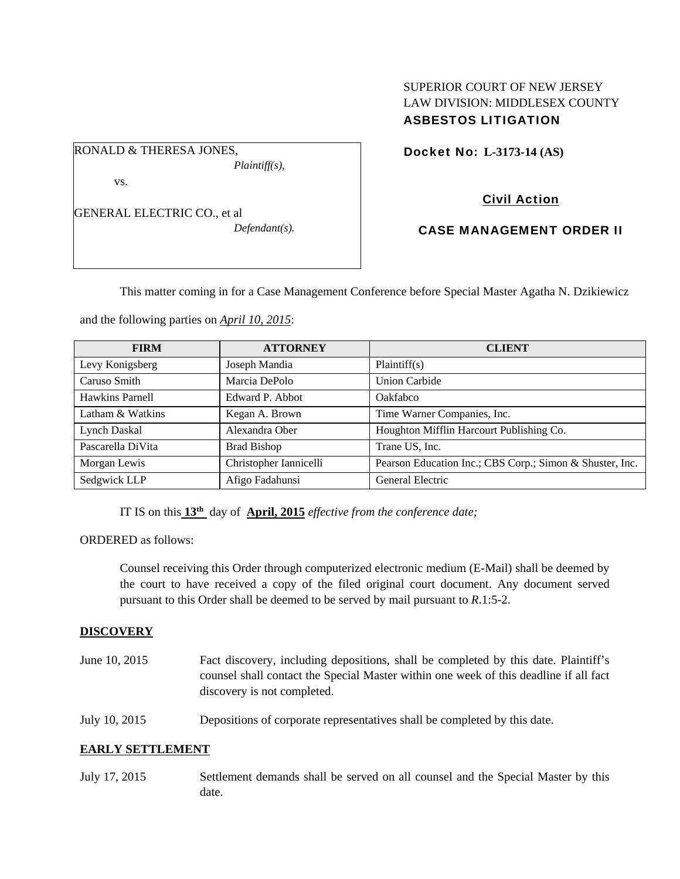### SUPERIOR COURT OF NEW JERSEY LAW DIVISION: MIDDLESEX COUNTY ASBESTOS LITIGATION

RONALD & THERESA JONES,

vs.

GENERAL ELECTRIC CO., et al

*Defendant(s).* 

*Plaintiff(s),* 

Docket No: **L-3173-14 (AS)** 

# Civil Action

CASE MANAGEMENT ORDER II

This matter coming in for a Case Management Conference before Special Master Agatha N. Dzikiewicz

and the following parties on *April 10, 2015*:

| <b>FIRM</b>       | <b>ATTORNEY</b>        | <b>CLIENT</b>                                            |
|-------------------|------------------------|----------------------------------------------------------|
| Levy Konigsberg   | Joseph Mandia          | Plaintiff(s)                                             |
| Caruso Smith      | Marcia DePolo          | <b>Union Carbide</b>                                     |
| Hawkins Parnell   | Edward P. Abbot        | Oakfabco                                                 |
| Latham & Watkins  | Kegan A. Brown         | Time Warner Companies, Inc.                              |
| Lynch Daskal      | Alexandra Ober         | Houghton Mifflin Harcourt Publishing Co.                 |
| Pascarella DiVita | <b>Brad Bishop</b>     | Trane US, Inc.                                           |
| Morgan Lewis      | Christopher Iannicelli | Pearson Education Inc.; CBS Corp.; Simon & Shuster, Inc. |
| Sedgwick LLP      | Afigo Fadahunsi        | General Electric                                         |

IT IS on this **13th** day of **April, 2015** *effective from the conference date;*

ORDERED as follows:

Counsel receiving this Order through computerized electronic medium (E-Mail) shall be deemed by the court to have received a copy of the filed original court document. Any document served pursuant to this Order shall be deemed to be served by mail pursuant to *R*.1:5-2.

### **DISCOVERY**

- June 10, 2015 Fact discovery, including depositions, shall be completed by this date. Plaintiff's counsel shall contact the Special Master within one week of this deadline if all fact discovery is not completed.
- July 10, 2015 Depositions of corporate representatives shall be completed by this date.

### **EARLY SETTLEMENT**

July 17, 2015 Settlement demands shall be served on all counsel and the Special Master by this date.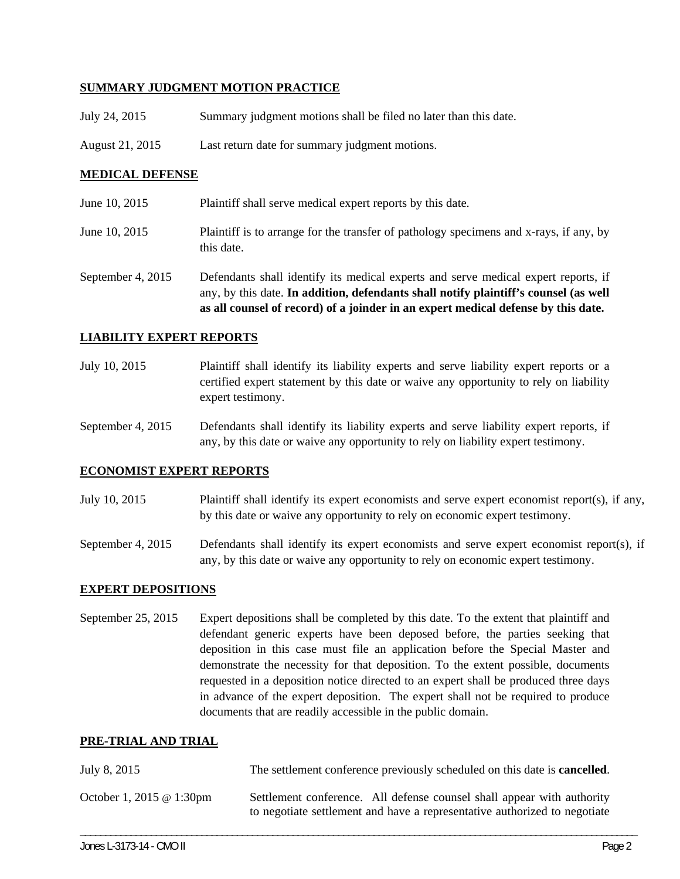### **SUMMARY JUDGMENT MOTION PRACTICE**

- July 24, 2015 Summary judgment motions shall be filed no later than this date.
- August 21, 2015 Last return date for summary judgment motions.

### **MEDICAL DEFENSE**

- June 10, 2015 Plaintiff shall serve medical expert reports by this date.
- June 10, 2015 Plaintiff is to arrange for the transfer of pathology specimens and x-rays, if any, by this date.
- September 4, 2015 Defendants shall identify its medical experts and serve medical expert reports, if any, by this date. **In addition, defendants shall notify plaintiff's counsel (as well as all counsel of record) of a joinder in an expert medical defense by this date.**

#### **LIABILITY EXPERT REPORTS**

July 10, 2015 Plaintiff shall identify its liability experts and serve liability expert reports or a certified expert statement by this date or waive any opportunity to rely on liability expert testimony.

September 4, 2015 Defendants shall identify its liability experts and serve liability expert reports, if any, by this date or waive any opportunity to rely on liability expert testimony.

#### **ECONOMIST EXPERT REPORTS**

- July 10, 2015 Plaintiff shall identify its expert economists and serve expert economist report(s), if any, by this date or waive any opportunity to rely on economic expert testimony.
- September 4, 2015 Defendants shall identify its expert economists and serve expert economist report(s), if any, by this date or waive any opportunity to rely on economic expert testimony.

#### **EXPERT DEPOSITIONS**

September 25, 2015 Expert depositions shall be completed by this date. To the extent that plaintiff and defendant generic experts have been deposed before, the parties seeking that deposition in this case must file an application before the Special Master and demonstrate the necessity for that deposition. To the extent possible, documents requested in a deposition notice directed to an expert shall be produced three days in advance of the expert deposition. The expert shall not be required to produce documents that are readily accessible in the public domain.

#### **PRE-TRIAL AND TRIAL**

| July 8, 2015             | The settlement conference previously scheduled on this date is <b>cancelled</b> .                                                                   |  |
|--------------------------|-----------------------------------------------------------------------------------------------------------------------------------------------------|--|
| October 1, 2015 @ 1:30pm | Settlement conference. All defense counsel shall appear with authority<br>to negotiate settlement and have a representative authorized to negotiate |  |

\_\_\_\_\_\_\_\_\_\_\_\_\_\_\_\_\_\_\_\_\_\_\_\_\_\_\_\_\_\_\_\_\_\_\_\_\_\_\_\_\_\_\_\_\_\_\_\_\_\_\_\_\_\_\_\_\_\_\_\_\_\_\_\_\_\_\_\_\_\_\_\_\_\_\_\_\_\_\_\_\_\_\_\_\_\_\_\_\_\_\_\_\_\_\_\_\_\_\_\_\_\_\_\_\_\_\_\_\_\_